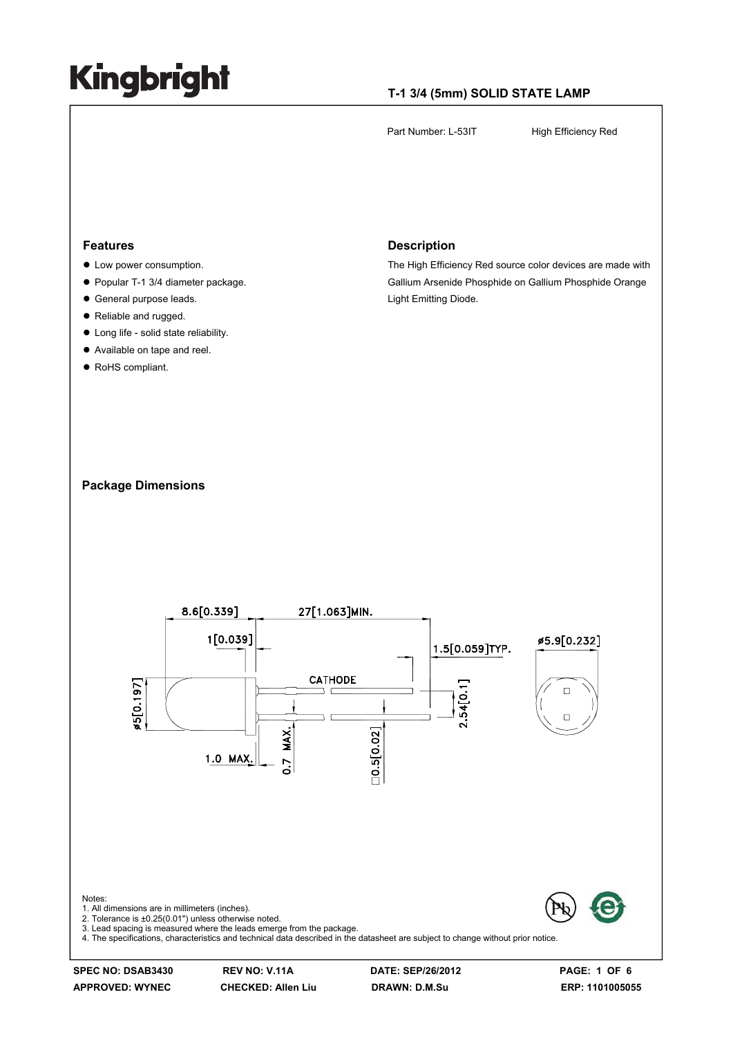### **T-1 3/4 (5mm) SOLID STATE LAMP**

Part Number: L-53IT High Efficiency Red

#### **Features**

- $\bullet$  Low power consumption.
- Popular T-1 3/4 diameter package.
- $\bullet$  General purpose leads.
- Reliable and rugged.
- $\bullet$  Long life solid state reliability.
- Available on tape and reel.
- RoHS compliant.

#### **Description**

The High Efficiency Red source color devices are made with Gallium Arsenide Phosphide on Gallium Phosphide Orange Light Emitting Diode.

#### **Package Dimensions**



**SPEC NO: DSAB3430 REV NO: V.11A DATE: SEP/26/2012 PAGE: 1 OF 6**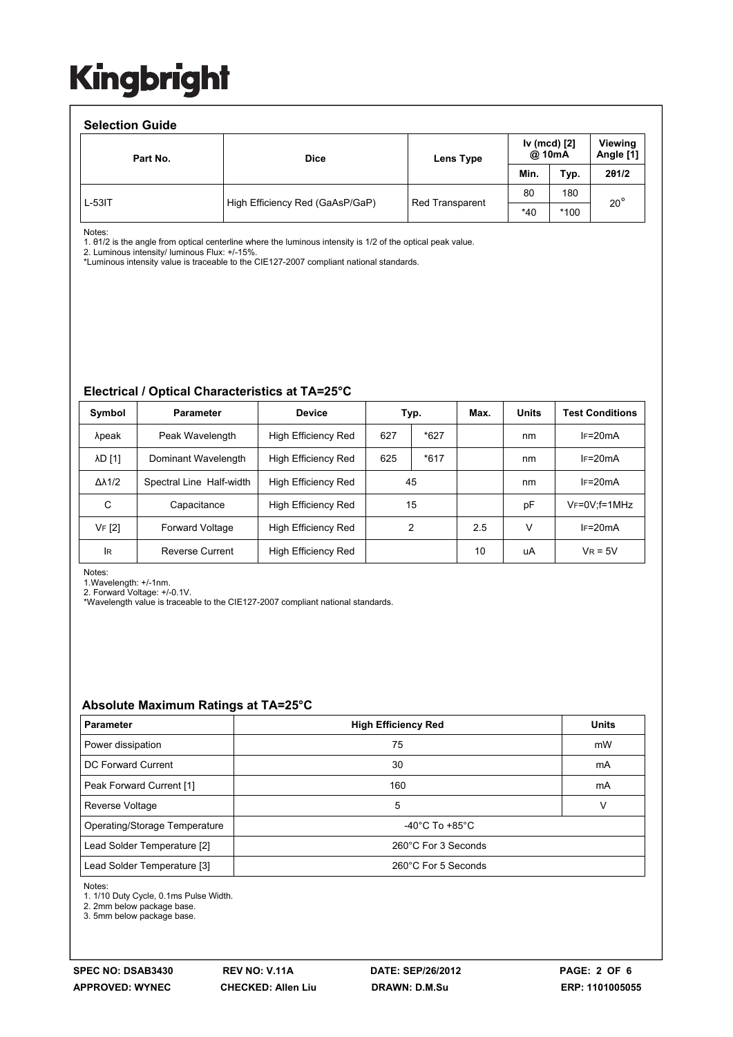#### **Selection Guide**  Part No. **Dice Dice Lens Type Iv (mcd) [2] @ 10mA Viewing Angle [1] Min. Typ. 2θ1/2**  High Efficiency Red (GaAsP/GaP) | Red Transparent 80 180  $\frac{1}{*40}$   $\frac{1}{*100}$  20<sup>°</sup> L-53IT

Notes:

1. θ1/2 is the angle from optical centerline where the luminous intensity is 1/2 of the optical peak value.

2. Luminous intensity/ luminous Flux: +/-15%.

\*Luminous intensity value is traceable to the CIE127-2007 compliant national standards.

### **Electrical / Optical Characteristics at TA=25°C**

| Symbol              | <b>Parameter</b>         | <b>Device</b>       |     | Typ.   | Max. | <b>Units</b> | <b>Test Conditions</b> |
|---------------------|--------------------------|---------------------|-----|--------|------|--------------|------------------------|
| λpeak               | Peak Wavelength          | High Efficiency Red | 627 | $*627$ |      | nm           | $IF=20mA$              |
| <b>AD [1]</b>       | Dominant Wavelength      | High Efficiency Red | 625 | $*617$ |      | nm           | $IF=20mA$              |
| $\Delta\lambda$ 1/2 | Spectral Line Half-width | High Efficiency Red |     | 45     |      | nm           | $IF=20mA$              |
| C                   | Capacitance              | High Efficiency Red |     | 15     |      | pF           | $V_F = 0V$ ; f=1MHz    |
| VF [2]              | <b>Forward Voltage</b>   | High Efficiency Red |     | 2      | 2.5  | v            | $IF=20mA$              |
| lR.                 | <b>Reverse Current</b>   | High Efficiency Red |     |        | 10   | uA           | $V_R = 5V$             |

Notes:

1.Wavelength: +/-1nm.

2. Forward Voltage: +/-0.1V.

\*Wavelength value is traceable to the CIE127-2007 compliant national standards.

### **Absolute Maximum Ratings at TA=25°C**

| <b>Parameter</b>              | <b>High Efficiency Red</b>           | <b>Units</b> |  |  |  |
|-------------------------------|--------------------------------------|--------------|--|--|--|
| Power dissipation             | 75                                   | mW           |  |  |  |
| DC Forward Current            | 30                                   | mA           |  |  |  |
| Peak Forward Current [1]      | 160                                  | mA           |  |  |  |
| Reverse Voltage               | 5                                    |              |  |  |  |
| Operating/Storage Temperature | -40 $^{\circ}$ C To +85 $^{\circ}$ C |              |  |  |  |
| Lead Solder Temperature [2]   | 260°C For 3 Seconds                  |              |  |  |  |
| Lead Solder Temperature [3]   | 260°C For 5 Seconds                  |              |  |  |  |

Notes:

1. 1/10 Duty Cycle, 0.1ms Pulse Width.

2. 2mm below package base.

3. 5mm below package base.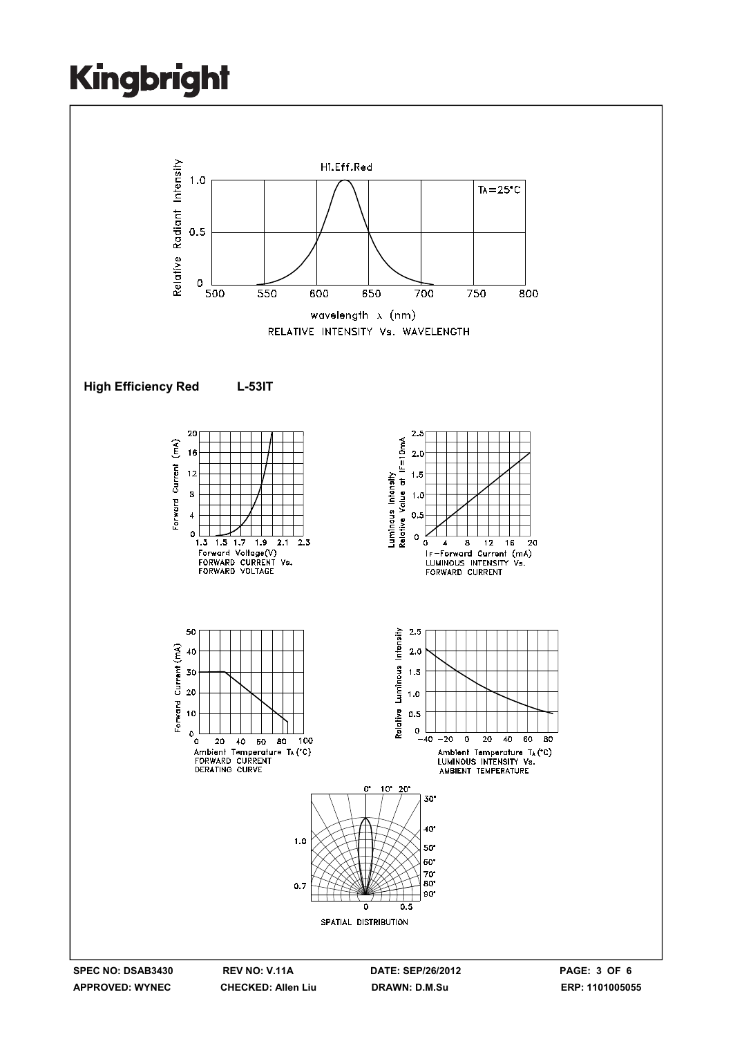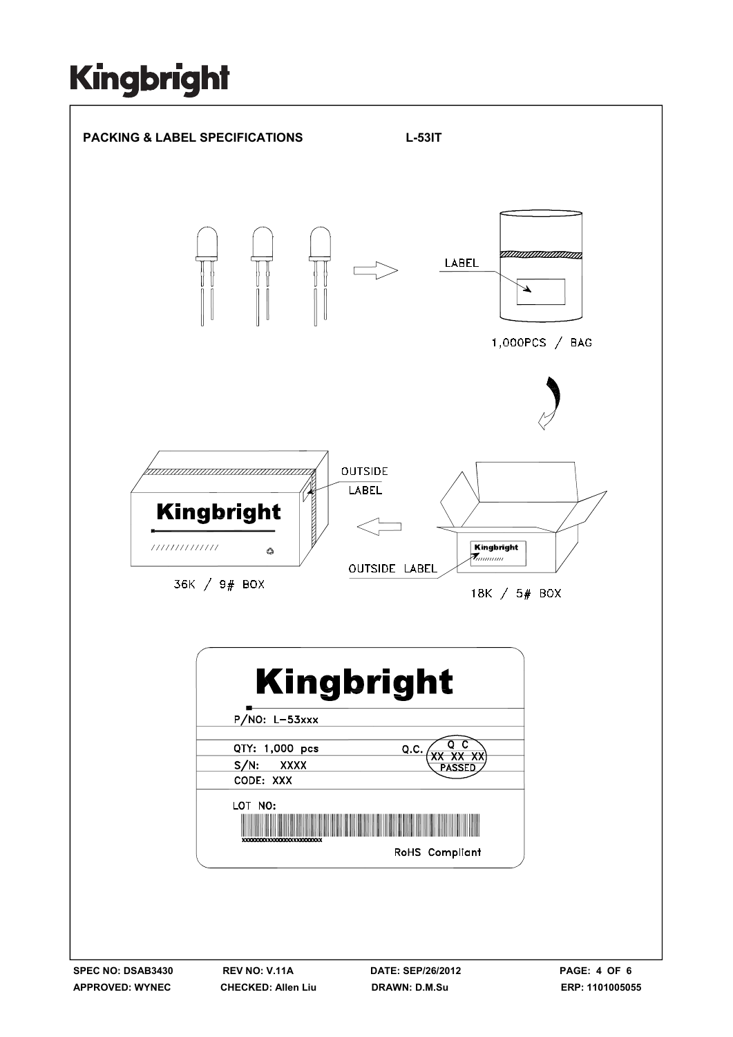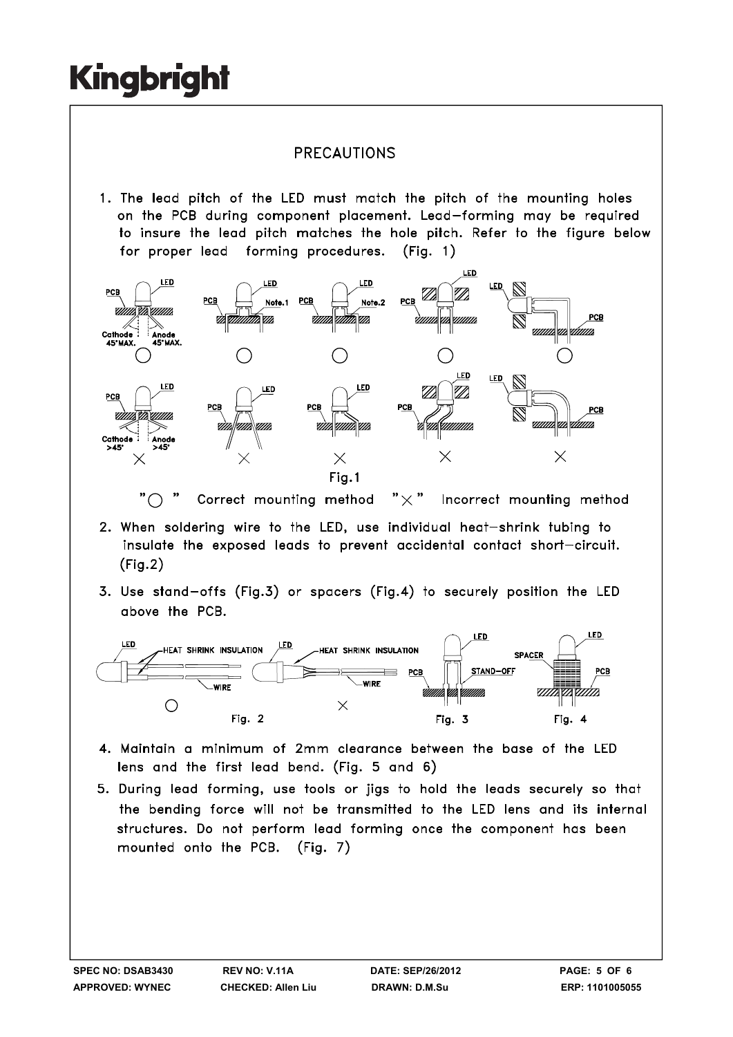### **PRECAUTIONS**

1. The lead pitch of the LED must match the pitch of the mounting holes on the PCB during component placement. Lead-forming may be required to insure the lead pitch matches the hole pitch. Refer to the figure below for proper lead forming procedures.  $(Fiq. 1)$ 



" $\bigcap$ Correct mounting method "  $\times$  " Incorrect mounting method

- 2. When soldering wire to the LED, use individual heat-shrink tubing to insulate the exposed leads to prevent accidental contact short-circuit.  $(Fig.2)$
- 3. Use stand-offs (Fig.3) or spacers (Fig.4) to securely position the LED above the PCB.



- 4. Maintain a minimum of 2mm clearance between the base of the LED lens and the first lead bend. (Fig. 5 and 6)
- 5. During lead forming, use tools or jigs to hold the leads securely so that the bending force will not be transmitted to the LED lens and its internal structures. Do not perform lead forming once the component has been mounted onto the PCB. (Fig. 7)